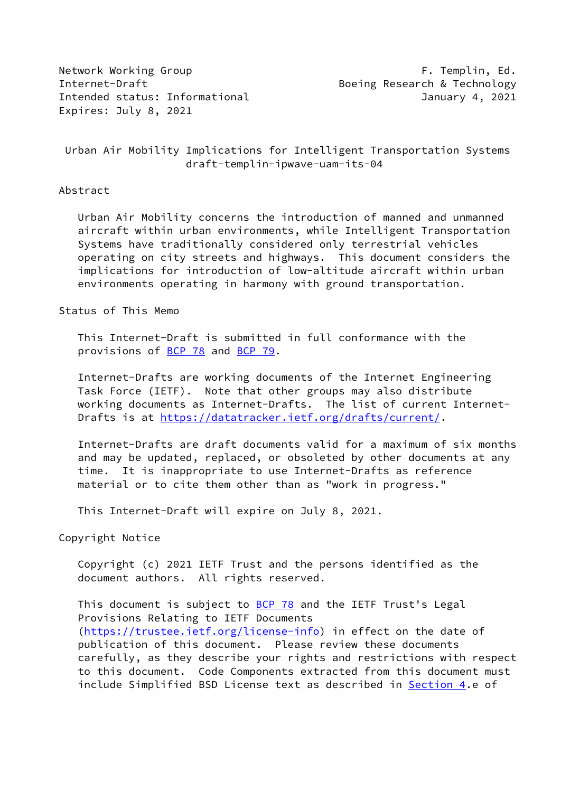Network Working Group **F. Templin, Ed.** Internet-Draft Boeing Research & Technology Intended status: Informational January 4, 2021 Expires: July 8, 2021

 Urban Air Mobility Implications for Intelligent Transportation Systems draft-templin-ipwave-uam-its-04

### Abstract

 Urban Air Mobility concerns the introduction of manned and unmanned aircraft within urban environments, while Intelligent Transportation Systems have traditionally considered only terrestrial vehicles operating on city streets and highways. This document considers the implications for introduction of low-altitude aircraft within urban environments operating in harmony with ground transportation.

# Status of This Memo

 This Internet-Draft is submitted in full conformance with the provisions of [BCP 78](https://datatracker.ietf.org/doc/pdf/bcp78) and [BCP 79](https://datatracker.ietf.org/doc/pdf/bcp79).

 Internet-Drafts are working documents of the Internet Engineering Task Force (IETF). Note that other groups may also distribute working documents as Internet-Drafts. The list of current Internet- Drafts is at<https://datatracker.ietf.org/drafts/current/>.

 Internet-Drafts are draft documents valid for a maximum of six months and may be updated, replaced, or obsoleted by other documents at any time. It is inappropriate to use Internet-Drafts as reference material or to cite them other than as "work in progress."

This Internet-Draft will expire on July 8, 2021.

Copyright Notice

 Copyright (c) 2021 IETF Trust and the persons identified as the document authors. All rights reserved.

This document is subject to **[BCP 78](https://datatracker.ietf.org/doc/pdf/bcp78)** and the IETF Trust's Legal Provisions Relating to IETF Documents [\(https://trustee.ietf.org/license-info](https://trustee.ietf.org/license-info)) in effect on the date of publication of this document. Please review these documents carefully, as they describe your rights and restrictions with respect to this document. Code Components extracted from this document must include Simplified BSD License text as described in [Section 4.](#page-2-0)e of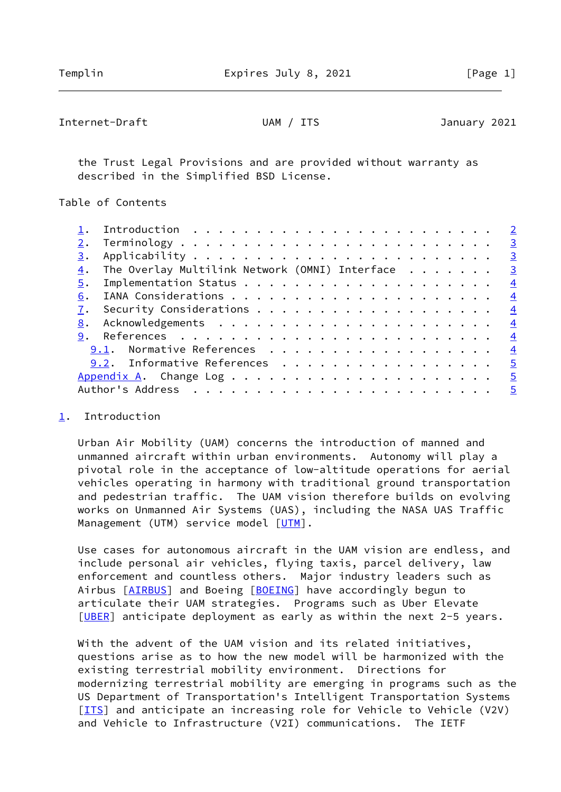## <span id="page-1-1"></span>Internet-Draft UAM / ITS January 2021

 the Trust Legal Provisions and are provided without warranty as described in the Simplified BSD License.

Table of Contents

|    |                                                | $\overline{2}$          |
|----|------------------------------------------------|-------------------------|
| 2. |                                                | $\overline{\mathbf{3}}$ |
| 3. |                                                | $\overline{\mathbf{3}}$ |
| 4. | The Overlay Multilink Network (OMNI) Interface | $\overline{\mathbf{3}}$ |
| 5. |                                                | $\overline{4}$          |
| 6. |                                                | $\overline{4}$          |
|    |                                                | $\overline{4}$          |
| 8. |                                                | $\overline{4}$          |
|    |                                                | $\frac{4}{1}$           |
|    | 9.1. Normative References                      | $\overline{4}$          |
|    | 9.2. Informative References                    | $\overline{5}$          |
|    |                                                | $\overline{5}$          |
|    |                                                |                         |
|    |                                                |                         |

### <span id="page-1-0"></span>[1](#page-1-0). Introduction

 Urban Air Mobility (UAM) concerns the introduction of manned and unmanned aircraft within urban environments. Autonomy will play a pivotal role in the acceptance of low-altitude operations for aerial vehicles operating in harmony with traditional ground transportation and pedestrian traffic. The UAM vision therefore builds on evolving works on Unmanned Air Systems (UAS), including the NASA UAS Traffic Management (UTM) service model [\[UTM](#page-5-1)].

 Use cases for autonomous aircraft in the UAM vision are endless, and include personal air vehicles, flying taxis, parcel delivery, law enforcement and countless others. Major industry leaders such as Airbus [\[AIRBUS](#page-4-4)] and Boeing [[BOEING](#page-4-5)] have accordingly begun to articulate their UAM strategies. Programs such as Uber Elevate [\[UBER](#page-5-2)] anticipate deployment as early as within the next 2-5 years.

With the advent of the UAM vision and its related initiatives, questions arise as to how the new model will be harmonized with the existing terrestrial mobility environment. Directions for modernizing terrestrial mobility are emerging in programs such as the US Department of Transportation's Intelligent Transportation Systems [\[ITS](#page-5-3)] and anticipate an increasing role for Vehicle to Vehicle (V2V) and Vehicle to Infrastructure (V2I) communications. The IETF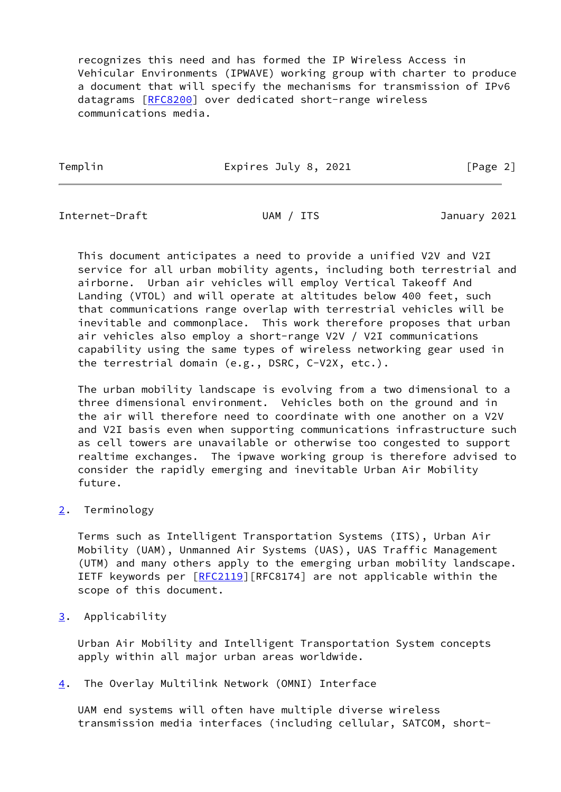recognizes this need and has formed the IP Wireless Access in Vehicular Environments (IPWAVE) working group with charter to produce a document that will specify the mechanisms for transmission of IPv6 datagrams [[RFC8200](https://datatracker.ietf.org/doc/pdf/rfc8200)] over dedicated short-range wireless communications media.

Templin **Expires July 8, 2021** [Page 2]

<span id="page-2-2"></span>Internet-Draft UAM / ITS January 2021

 This document anticipates a need to provide a unified V2V and V2I service for all urban mobility agents, including both terrestrial and airborne. Urban air vehicles will employ Vertical Takeoff And Landing (VTOL) and will operate at altitudes below 400 feet, such that communications range overlap with terrestrial vehicles will be inevitable and commonplace. This work therefore proposes that urban air vehicles also employ a short-range V2V / V2I communications capability using the same types of wireless networking gear used in the terrestrial domain (e.g., DSRC, C-V2X, etc.).

 The urban mobility landscape is evolving from a two dimensional to a three dimensional environment. Vehicles both on the ground and in the air will therefore need to coordinate with one another on a V2V and V2I basis even when supporting communications infrastructure such as cell towers are unavailable or otherwise too congested to support realtime exchanges. The ipwave working group is therefore advised to consider the rapidly emerging and inevitable Urban Air Mobility future.

<span id="page-2-1"></span>[2](#page-2-1). Terminology

 Terms such as Intelligent Transportation Systems (ITS), Urban Air Mobility (UAM), Unmanned Air Systems (UAS), UAS Traffic Management (UTM) and many others apply to the emerging urban mobility landscape. IETF keywords per [[RFC2119](https://datatracker.ietf.org/doc/pdf/rfc2119)][RFC8174] are not applicable within the scope of this document.

<span id="page-2-3"></span>[3](#page-2-3). Applicability

 Urban Air Mobility and Intelligent Transportation System concepts apply within all major urban areas worldwide.

<span id="page-2-0"></span>[4](#page-2-0). The Overlay Multilink Network (OMNI) Interface

 UAM end systems will often have multiple diverse wireless transmission media interfaces (including cellular, SATCOM, short-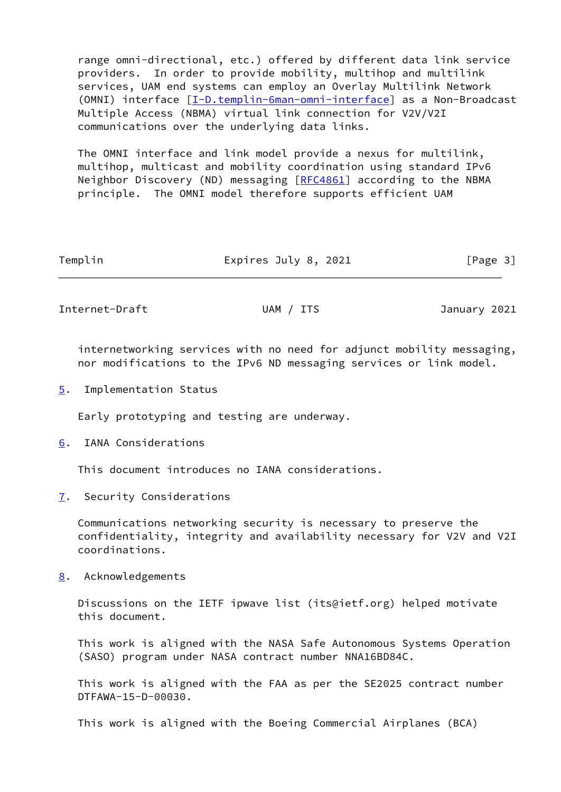range omni-directional, etc.) offered by different data link service providers. In order to provide mobility, multihop and multilink services, UAM end systems can employ an Overlay Multilink Network (OMNI) interface [\[I-D.templin-6man-omni-interface](#page-4-6)] as a Non-Broadcast Multiple Access (NBMA) virtual link connection for V2V/V2I communications over the underlying data links.

 The OMNI interface and link model provide a nexus for multilink, multihop, multicast and mobility coordination using standard IPv6 Neighbor Discovery (ND) messaging [[RFC4861](https://datatracker.ietf.org/doc/pdf/rfc4861)] according to the NBMA principle. The OMNI model therefore supports efficient UAM

| Templin | Expires July 8, 2021 | [Page 3] |
|---------|----------------------|----------|
|         |                      |          |

<span id="page-3-1"></span>Internet-Draft UAM / ITS January 2021

 internetworking services with no need for adjunct mobility messaging, nor modifications to the IPv6 ND messaging services or link model.

<span id="page-3-0"></span>[5](#page-3-0). Implementation Status

Early prototyping and testing are underway.

<span id="page-3-2"></span>[6](#page-3-2). IANA Considerations

This document introduces no IANA considerations.

<span id="page-3-3"></span>[7](#page-3-3). Security Considerations

 Communications networking security is necessary to preserve the confidentiality, integrity and availability necessary for V2V and V2I coordinations.

<span id="page-3-4"></span>[8](#page-3-4). Acknowledgements

 Discussions on the IETF ipwave list (its@ietf.org) helped motivate this document.

 This work is aligned with the NASA Safe Autonomous Systems Operation (SASO) program under NASA contract number NNA16BD84C.

 This work is aligned with the FAA as per the SE2025 contract number DTFAWA-15-D-00030.

This work is aligned with the Boeing Commercial Airplanes (BCA)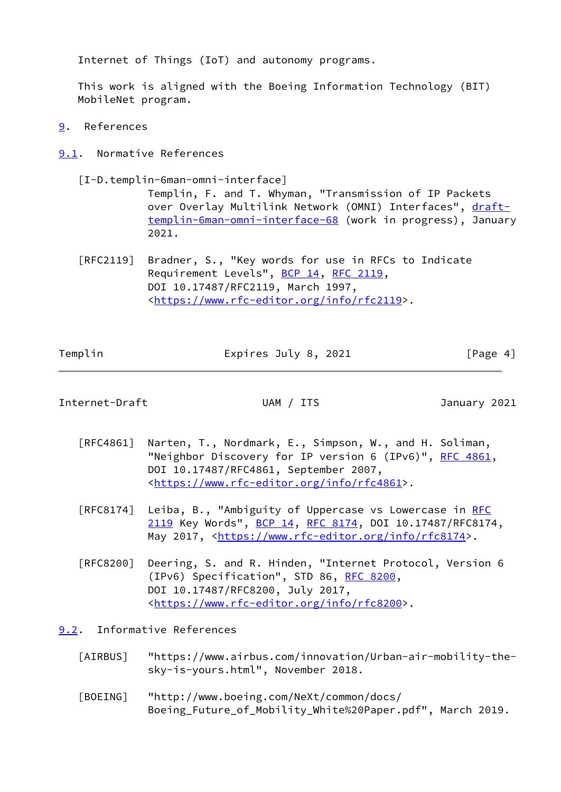Internet of Things (IoT) and autonomy programs.

 This work is aligned with the Boeing Information Technology (BIT) MobileNet program.

- <span id="page-4-0"></span>[9](#page-4-0). References
- <span id="page-4-1"></span>[9.1](#page-4-1). Normative References
	- [I-D.templin-6man-omni-interface]

<span id="page-4-6"></span> Templin, F. and T. Whyman, "Transmission of IP Packets over Overlay Multilink Network (OMNI) Interfaces", [draft](https://datatracker.ietf.org/doc/pdf/draft-templin-6man-omni-interface-68) [templin-6man-omni-interface-68](https://datatracker.ietf.org/doc/pdf/draft-templin-6man-omni-interface-68) (work in progress), January 2021.

 [RFC2119] Bradner, S., "Key words for use in RFCs to Indicate Requirement Levels", [BCP 14](https://datatracker.ietf.org/doc/pdf/bcp14), [RFC 2119](https://datatracker.ietf.org/doc/pdf/rfc2119), DOI 10.17487/RFC2119, March 1997, <[https://www.rfc-editor.org/info/rfc2119>](https://www.rfc-editor.org/info/rfc2119).

| Templin | Expires July 8, 2021 | [Page 4] |
|---------|----------------------|----------|
|         |                      |          |

<span id="page-4-3"></span>Internet-Draft UAM / ITS January 2021

- [RFC4861] Narten, T., Nordmark, E., Simpson, W., and H. Soliman, "Neighbor Discovery for IP version 6 (IPv6)", [RFC 4861](https://datatracker.ietf.org/doc/pdf/rfc4861), DOI 10.17487/RFC4861, September 2007, <[https://www.rfc-editor.org/info/rfc4861>](https://www.rfc-editor.org/info/rfc4861).
- [RFC8174] Leiba, B., "Ambiguity of Uppercase vs Lowercase in [RFC](https://datatracker.ietf.org/doc/pdf/rfc2119) [2119](https://datatracker.ietf.org/doc/pdf/rfc2119) Key Words", [BCP 14](https://datatracker.ietf.org/doc/pdf/bcp14), [RFC 8174,](https://datatracker.ietf.org/doc/pdf/rfc8174) DOI 10.17487/RFC8174. May 2017, [<https://www.rfc-editor.org/info/rfc8174](https://www.rfc-editor.org/info/rfc8174)>.
- [RFC8200] Deering, S. and R. Hinden, "Internet Protocol, Version 6 (IPv6) Specification", STD 86, [RFC 8200](https://datatracker.ietf.org/doc/pdf/rfc8200), DOI 10.17487/RFC8200, July 2017, <[https://www.rfc-editor.org/info/rfc8200>](https://www.rfc-editor.org/info/rfc8200).

<span id="page-4-2"></span>[9.2](#page-4-2). Informative References

- <span id="page-4-4"></span> [AIRBUS] "https://www.airbus.com/innovation/Urban-air-mobility-the sky-is-yours.html", November 2018.
- <span id="page-4-5"></span> [BOEING] "http://www.boeing.com/NeXt/common/docs/ Boeing\_Future\_of\_Mobility\_White%20Paper.pdf", March 2019.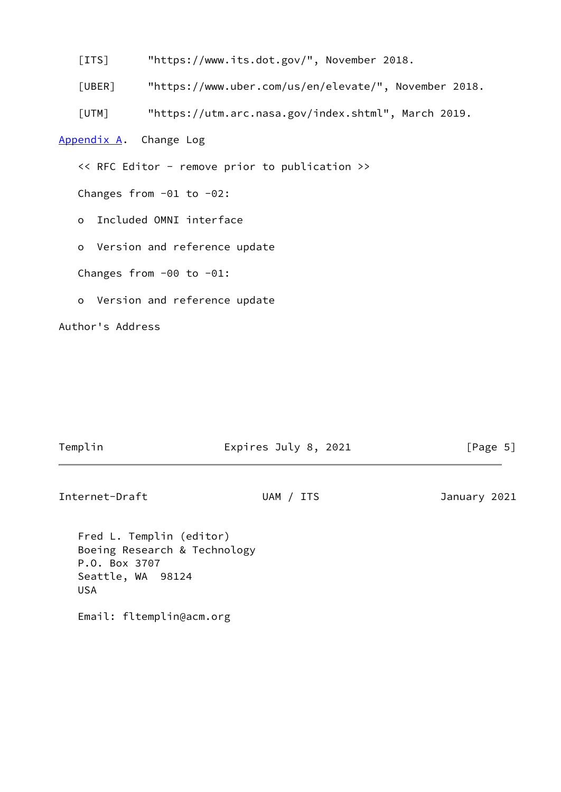<span id="page-5-3"></span>[ITS] "https://www.its.dot.gov/", November 2018.

<span id="page-5-2"></span>[UBER] "https://www.uber.com/us/en/elevate/", November 2018.

<span id="page-5-1"></span>[UTM] "https://utm.arc.nasa.gov/index.shtml", March 2019.

<span id="page-5-0"></span>[Appendix A.](#page-5-0) Change Log

<< RFC Editor - remove prior to publication >>

Changes from -01 to -02:

o Included OMNI interface

o Version and reference update

Changes from -00 to -01:

o Version and reference update

Author's Address

## Templin **Expires July 8, 2021** [Page 5]

Internet-Draft UAM / ITS January 2021

 Fred L. Templin (editor) Boeing Research & Technology P.O. Box 3707 Seattle, WA 98124 USA

Email: fltemplin@acm.org